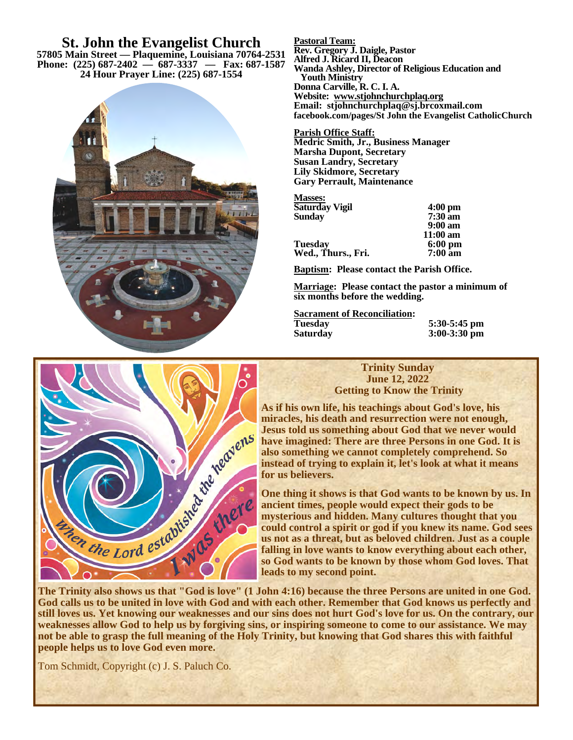**St. John the Evangelist Church 57805 Main Street — Plaquemine, Louisiana 70764-2531 Phone: (225) 687-2402 — 687-3337 — Fax: 687-1587 24 Hour Prayer Line: (225) 687-1554**



**Pastoral Team: Rev. Gregory J. Daigle, Pastor Alfred J. Ricard II, Deacon Wanda Ashley, Director of Religious Education and Youth Ministry Donna Carville, R. C. I. A. Website: www.stjohnchurchplaq.org Email: stjohnchurchplaq@sj.brcoxmail.com facebook.com/pages/St John the Evangelist CatholicChurch** 

**Parish Office Staff: Medric Smith, Jr., Business Manager Marsha Dupont, Secretary Susan Landry, Secretary Lily Skidmore, Secretary Gary Perrault, Maintenance** 

| <b>Masses:</b>     |                    |
|--------------------|--------------------|
| Saturday Vigil     | $4:00$ pm          |
| Sunday             | $7:30$ am          |
|                    | $9:00 \text{ am}$  |
|                    | $11:00 \text{ am}$ |
| Tuesday            | $6:00 \text{ pm}$  |
| Wed., Thurs., Fri. | $7:00 \text{ am}$  |
|                    |                    |

**Baptism: Please contact the Parish Office.** 

**Marriage: Please contact the pastor a minimum of six months before the wedding.** 

**Sacrament of Reconciliation:** 

**Tuesday 5:30-5:45 pm Saturday 3:00-3:30 pm** 

#### **Trinity Sunday June 12, 2022 Getting to Know the Trinity**

**As if his own life, his teachings about God's love, his Jesus told us something about God that we never would have imagined: There are three Persons in one God. It is also something we cannot completely comprehend. So instead of trying to explain it, let's look at what it means for us believers.** 

**One thing it shows is that God wants to be known by us. In ancient times, people would expect their gods to be mysterious and hidden. Many cultures thought that you could control a spirit or god if you knew its name. God sees us not as a threat, but as beloved children. Just as a couple falling in love wants to know everything about each other, so God wants to be known by those whom God loves. That leads to my second point.** 

**The Trinity also shows us that "God is love" (1 John 4:16) because the three Persons are united in one God. God calls us to be united in love with God and with each other. Remember that God knows us perfectly and still loves us. Yet knowing our weaknesses and our sins does not hurt God's love for us. On the contrary, our weaknesses allow God to help us by forgiving sins, or inspiring someone to come to our assistance. We may not be able to grasp the full meaning of the Holy Trinity, but knowing that God shares this with faithful people helps us to love God even more.** 

Tom Schmidt, Copyright (c) J. S. Paluch Co.

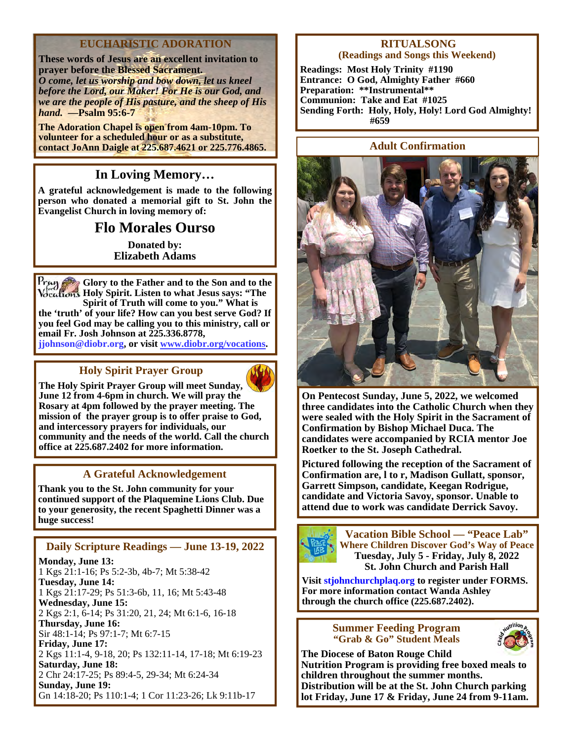# **EUCHARISTIC ADORATION**

**These words of Jesus are an excellent invitation to prayer before the Blessed Sacrament.**  *O come, let us worship and bow down, let us kneel before the Lord, our Maker! For He is our God, and we are the people of His pasture, and the sheep of His hand.* **—Psalm 95:6-7** 

**The Adoration Chapel is open from 4am-10pm. To volunteer for a scheduled hour or as a substitute, contact JoAnn Daigle at 225.687.4621 or 225.776.4865.** 

# **In Loving Memory…**

**A grateful acknowledgement is made to the following person who donated a memorial gift to St. John the Evangelist Church in loving memory of:** 

# **Flo Morales Ourso**

**Donated by: Elizabeth Adams** 

**Glory to the Father and to the Son and to the Holy Spirit. Listen to what Jesus says: "The Spirit of Truth will come to you." What is** 

**the 'truth' of your life? How can you best serve God? If you feel God may be calling you to this ministry, call or email Fr. Josh Johnson at 225.336.8778, jjohnson@diobr.org, or visit www.diobr.org/vocations.**

# **Holy Spirit Prayer Group**



**The Holy Spirit Prayer Group will meet Sunday, June 12 from 4-6pm in church. We will pray the Rosary at 4pm followed by the prayer meeting. The mission of the prayer group is to offer praise to God, and intercessory prayers for individuals, our community and the needs of the world. Call the church office at 225.687.2402 for more information.** 

# **A Grateful Acknowledgement**

**Thank you to the St. John community for your continued support of the Plaquemine Lions Club. Due to your generosity, the recent Spaghetti Dinner was a huge success!** 

# **Daily Scripture Readings — June 13-19, 2022**

**Monday, June 13:**  1 Kgs 21:1-16; Ps 5:2-3b, 4b-7; Mt 5:38-42 **Tuesday, June 14:**  1 Kgs 21:17-29; Ps 51:3-6b, 11, 16; Mt 5:43-48 **Wednesday, June 15:**  2 Kgs 2:1, 6-14; Ps 31:20, 21, 24; Mt 6:1-6, 16-18 **Thursday, June 16:**  Sir 48:1-14; Ps 97:1-7; Mt 6:7-15 **Friday, June 17:**  2 Kgs 11:1-4, 9-18, 20; Ps 132:11-14, 17-18; Mt 6:19-23 **Saturday, June 18:**  2 Chr 24:17-25; Ps 89:4-5, 29-34; Mt 6:24-34 **Sunday, June 19:** Gn 14:18-20; Ps 110:1-4; 1 Cor 11:23-26; Lk 9:11b-17

#### **RITUALSONG (Readings and Songs this Weekend)**

**Readings: Most Holy Trinity #1190 Entrance: O God, Almighty Father #660 Preparation: \*\*Instrumental\*\* Communion: Take and Eat #1025 Sending Forth: Holy, Holy, Holy! Lord God Almighty! #659** 

## **Adult Confirmation**



**On Pentecost Sunday, June 5, 2022, we welcomed three candidates into the Catholic Church when they were sealed with the Holy Spirit in the Sacrament of Confirmation by Bishop Michael Duca. The candidates were accompanied by RCIA mentor Joe Roetker to the St. Joseph Cathedral.** 

**Pictured following the reception of the Sacrament of Confirmation are, l to r, Madison Gullatt, sponsor, Garrett Simpson, candidate, Keegan Rodrigue, candidate and Victoria Savoy, sponsor. Unable to attend due to work was candidate Derrick Savoy.** 



**Vacation Bible School — "Peace Lab" Where Children Discover God's Way of Peace Tuesday, July 5 - Friday, July 8, 2022 St. John Church and Parish Hall** 

**Visit stjohnchurchplaq.org to register under FORMS. For more information contact Wanda Ashley through the church office (225.687.2402).** 

#### **Summer Feeding Program "Grab & Go" Student Meals**



**The Diocese of Baton Rouge Child Nutrition Program is providing free boxed meals to children throughout the summer months. Distribution will be at the St. John Church parking lot Friday, June 17 & Friday, June 24 from 9-11am.**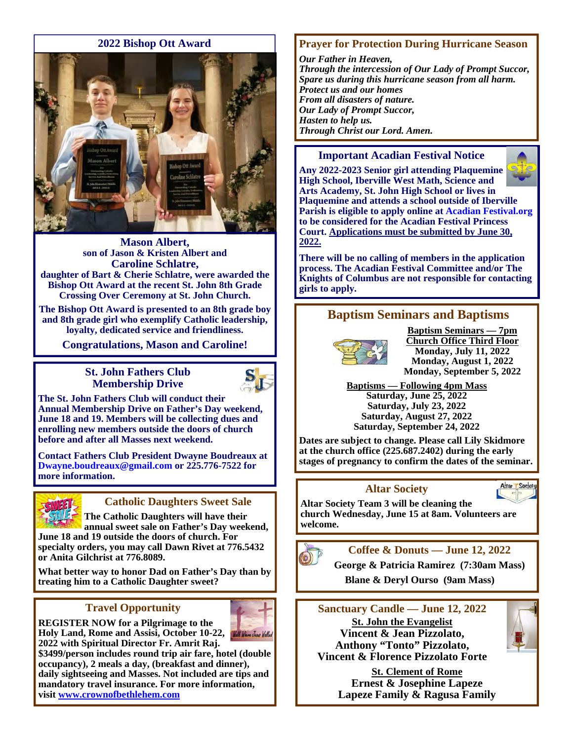#### **2022 Bishop Ott Award**



**Mason Albert, son of Jason & Kristen Albert and Caroline Schlatre, daughter of Bart & Cherie Schlatre, were awarded the Bishop Ott Award at the recent St. John 8th Grade Crossing Over Ceremony at St. John Church.** 

**The Bishop Ott Award is presented to an 8th grade boy and 8th grade girl who exemplify Catholic leadership, loyalty, dedicated service and friendliness.** 

**Congratulations, Mason and Caroline!** 

#### **St. John Fathers Club Membership Drive**



**The St. John Fathers Club will conduct their Annual Membership Drive on Father's Day weekend, June 18 and 19. Members will be collecting dues and enrolling new members outside the doors of church before and after all Masses next weekend.** 

**Contact Fathers Club President Dwayne Boudreaux at Dwayne.boudreaux@gmail.com or 225.776-7522 for more information.** 



# **Catholic Daughters Sweet Sale**

**The Catholic Daughters will have their annual sweet sale on Father's Day weekend, June 18 and 19 outside the doors of church. For specialty orders, you may call Dawn Rivet at 776.5432 or Anita Gilchrist at 776.8089.** 

**What better way to honor Dad on Father's Day than by treating him to a Catholic Daughter sweet?** 

# **Travel Opportunity**



**REGISTER NOW for a Pilgrimage to the**  Holy Land, Rome and Assisi, October 10-22, **Will Ware Used Wellet 2022 with Spiritual Director Fr. Amrit Raj.** 

**\$3499/person includes round trip air fare, hotel (double occupancy), 2 meals a day, (breakfast and dinner), daily sightseeing and Masses. Not included are tips and mandatory travel insurance. For more information, visit www.crownofbethlehem.com** 

# **Prayer for Protection During Hurricane Season**

*Our Father in Heaven, Through the intercession of Our Lady of Prompt Succor, Spare us during this hurricane season from all harm. Protect us and our homes From all disasters of nature. Our Lady of Prompt Succor, Hasten to help us. Through Christ our Lord. Amen.* 

#### **Important Acadian Festival Notice**



**Any 2022-2023 Senior girl attending Plaquemine High School, Iberville West Math, Science and Arts Academy, St. John High School or lives in Plaquemine and attends a school outside of Iberville Parish is eligible to apply online at Acadian Festival.org to be considered for the Acadian Festival Princess Court. Applications must be submitted by June 30, 2022.**

**There will be no calling of members in the application process. The Acadian Festival Committee and/or The Knights of Columbus are not responsible for contacting girls to apply.** 

# **Baptism Seminars and Baptisms**



**Baptism Seminars — 7pm Church Office Third Floor Monday, July 11, 2022 Monday, August 1, 2022 Monday, September 5, 2022** 

**Baptisms — Following 4pm Mass Saturday, June 25, 2022 Saturday, July 23, 2022 Saturday, August 27, 2022 Saturday, September 24, 2022** 

**Dates are subject to change. Please call Lily Skidmore at the church office (225.687.2402) during the early stages of pregnancy to confirm the dates of the seminar.**

# **Altar Society**



**Altar Society Team 3 will be cleaning the church Wednesday, June 15 at 8am. Volunteers are welcome.** 



**Coffee & Donuts — June 12, 2022** 

**George & Patricia Ramirez (7:30am Mass)** 

 **Blane & Deryl Ourso (9am Mass)** 

**Sanctuary Candle — June 12, 2022 St. John the Evangelist Vincent & Jean Pizzolato, Anthony "Tonto" Pizzolato, Vincent & Florence Pizzolato Forte** 



**St. Clement of Rome Ernest & Josephine Lapeze Lapeze Family & Ragusa Family**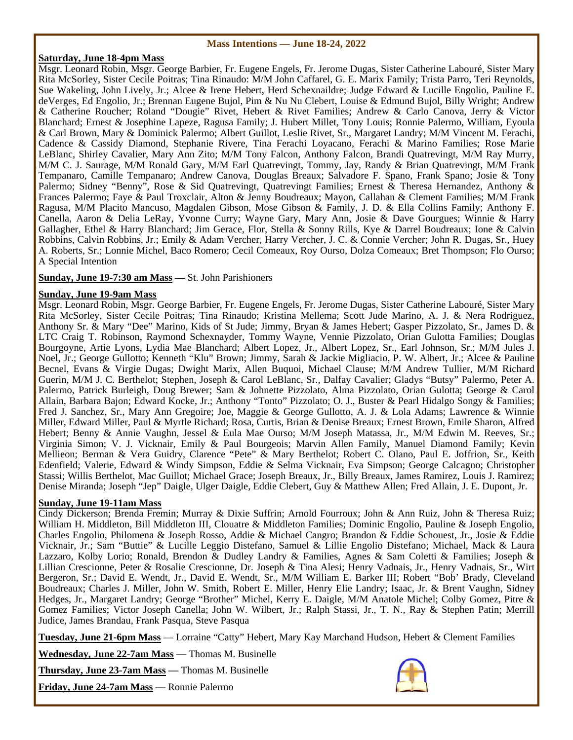#### **Mass Intentions — June 18-24, 2022**

#### **Saturday, June 18-4pm Mass**

Msgr. Leonard Robin, Msgr. George Barbier, Fr. Eugene Engels, Fr. Jerome Dugas, Sister Catherine Labouré, Sister Mary Rita McSorley, Sister Cecile Poitras; Tina Rinaudo: M/M John Caffarel, G. E. Marix Family; Trista Parro, Teri Reynolds, Sue Wakeling, John Lively, Jr.; Alcee & Irene Hebert, Herd Schexnaildre; Judge Edward & Lucille Engolio, Pauline E. deVerges, Ed Engolio, Jr.; Brennan Eugene Bujol, Pim & Nu Nu Clebert, Louise & Edmund Bujol, Billy Wright; Andrew & Catherine Roucher; Roland "Dougie" Rivet, Hebert & Rivet Families; Andrew & Carlo Canova, Jerry & Victor Blanchard; Ernest & Josephine Lapeze, Ragusa Family; J. Hubert Millet, Tony Louis; Ronnie Palermo, William, Eyoula & Carl Brown, Mary & Dominick Palermo; Albert Guillot, Leslie Rivet, Sr., Margaret Landry; M/M Vincent M. Ferachi, Cadence & Cassidy Diamond, Stephanie Rivere, Tina Ferachi Loyacano, Ferachi & Marino Families; Rose Marie LeBlanc, Shirley Cavalier, Mary Ann Zito; M/M Tony Falcon, Anthony Falcon, Brandi Quatrevingt, M/M Ray Murry, M/M C. J. Saurage, M/M Ronald Gary, M/M Earl Quatrevingt, Tommy, Jay, Randy & Brian Quatrevingt, M/M Frank Tempanaro, Camille Tempanaro; Andrew Canova, Douglas Breaux; Salvadore F. Spano, Frank Spano; Josie & Tony Palermo; Sidney "Benny", Rose & Sid Quatrevingt, Quatrevingt Families; Ernest & Theresa Hernandez, Anthony & Frances Palermo; Faye & Paul Troxclair, Alton & Jenny Boudreaux; Mayon, Callahan & Clement Families; M/M Frank Ragusa, M/M Placito Mancuso, Magdalen Gibson, Mose Gibson & Family, J. D. & Ella Collins Family; Anthony F. Canella, Aaron & Delia LeRay, Yvonne Curry; Wayne Gary, Mary Ann, Josie & Dave Gourgues; Winnie & Harry Gallagher, Ethel & Harry Blanchard; Jim Gerace, Flor, Stella & Sonny Rills, Kye & Darrel Boudreaux; Ione & Calvin Robbins, Calvin Robbins, Jr.; Emily & Adam Vercher, Harry Vercher, J. C. & Connie Vercher; John R. Dugas, Sr., Huey A. Roberts, Sr.; Lonnie Michel, Baco Romero; Cecil Comeaux, Roy Ourso, Dolza Comeaux; Bret Thompson; Flo Ourso; A Special Intention

#### **Sunday, June 19-7:30 am Mass —** St. John Parishioners

#### **Sunday, June 19-9am Mass**

Msgr. Leonard Robin, Msgr. George Barbier, Fr. Eugene Engels, Fr. Jerome Dugas, Sister Catherine Labouré, Sister Mary Rita McSorley, Sister Cecile Poitras; Tina Rinaudo; Kristina Mellema; Scott Jude Marino, A. J. & Nera Rodriguez, Anthony Sr. & Mary "Dee" Marino, Kids of St Jude; Jimmy, Bryan & James Hebert; Gasper Pizzolato, Sr., James D. & LTC Craig T. Robinson, Raymond Schexnayder, Tommy Wayne, Vennie Pizzolato, Orian Gulotta Families; Douglas Bourgoyne, Artie Lyons, Lydia Mae Blanchard; Albert Lopez, Jr., Albert Lopez, Sr., Earl Johnson, Sr.; M/M Jules J. Noel, Jr.; George Gullotto; Kenneth "Klu" Brown; Jimmy, Sarah & Jackie Migliacio, P. W. Albert, Jr.; Alcee & Pauline Becnel, Evans & Virgie Dugas; Dwight Marix, Allen Buquoi, Michael Clause; M/M Andrew Tullier, M/M Richard Guerin, M/M J. C. Berthelot; Stephen, Joseph & Carol LeBlanc, Sr., Dalfay Cavalier; Gladys "Butsy" Palermo, Peter A. Palermo, Patrick Burleigh, Doug Brewer; Sam & Johnette Pizzolato, Alma Pizzolato, Orian Gulotta; George & Carol Allain, Barbara Bajon; Edward Kocke, Jr.; Anthony "Tonto" Pizzolato; O. J., Buster & Pearl Hidalgo Songy & Families; Fred J. Sanchez, Sr., Mary Ann Gregoire; Joe, Maggie & George Gullotto, A. J. & Lola Adams; Lawrence & Winnie Miller, Edward Miller, Paul & Myrtle Richard; Rosa, Curtis, Brian & Denise Breaux; Ernest Brown, Emile Sharon, Alfred Hebert; Benny & Annie Vaughn, Jessel & Eula Mae Ourso; M/M Joseph Matassa, Jr., M/M Edwin M. Reeves, Sr.; Virginia Simon; V. J. Vicknair, Emily & Paul Bourgeois; Marvin Allen Family, Manuel Diamond Family; Kevin Mellieon; Berman & Vera Guidry, Clarence "Pete" & Mary Berthelot; Robert C. Olano, Paul E. Joffrion, Sr., Keith Edenfield; Valerie, Edward & Windy Simpson, Eddie & Selma Vicknair, Eva Simpson; George Calcagno; Christopher Stassi; Willis Berthelot, Mac Guillot; Michael Grace; Joseph Breaux, Jr., Billy Breaux, James Ramirez, Louis J. Ramirez; Denise Miranda; Joseph "Jep" Daigle, Ulger Daigle, Eddie Clebert, Guy & Matthew Allen; Fred Allain, J. E. Dupont, Jr.

#### **Sunday, June 19-11am Mass**

Cindy Dickerson; Brenda Fremin; Murray & Dixie Suffrin; Arnold Fourroux; John & Ann Ruiz, John & Theresa Ruiz; William H. Middleton, Bill Middleton III, Clouatre & Middleton Families; Dominic Engolio, Pauline & Joseph Engolio, Charles Engolio, Philomena & Joseph Rosso, Addie & Michael Cangro; Brandon & Eddie Schouest, Jr., Josie & Eddie Vicknair, Jr.; Sam "Buttie" & Lucille Leggio Distefano, Samuel & Lillie Engolio Distefano; Michael, Mack & Laura Lazzaro, Kolby Lorio; Ronald, Brendon & Dudley Landry & Families, Agnes & Sam Coletti & Families; Joseph & Lillian Crescionne, Peter & Rosalie Crescionne, Dr. Joseph & Tina Alesi; Henry Vadnais, Jr., Henry Vadnais, Sr., Wirt Bergeron, Sr.; David E. Wendt, Jr., David E. Wendt, Sr., M/M William E. Barker III; Robert "Bob' Brady, Cleveland Boudreaux; Charles J. Miller, John W. Smith, Robert E. Miller, Henry Elie Landry; Isaac, Jr. & Brent Vaughn, Sidney Hedges, Jr., Margaret Landry; George "Brother" Michel, Kerry E. Daigle, M/M Anatole Michel; Colby Gomez, Pitre & Gomez Families; Victor Joseph Canella; John W. Wilbert, Jr.; Ralph Stassi, Jr., T. N., Ray & Stephen Patin; Merrill Judice, James Brandau, Frank Pasqua, Steve Pasqua

**Tuesday, June 21-6pm Mass** — Lorraine "Catty" Hebert, Mary Kay Marchand Hudson, Hebert & Clement Families

**Wednesday, June 22-7am Mass —** Thomas M. Businelle

**Thursday, June 23-7am Mass —** Thomas M. Businelle

**Friday, June 24-7am Mass —** Ronnie Palermo

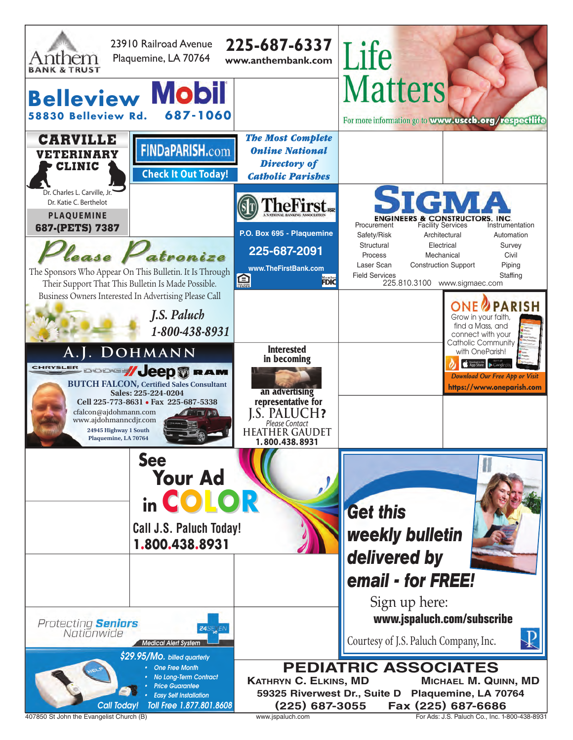